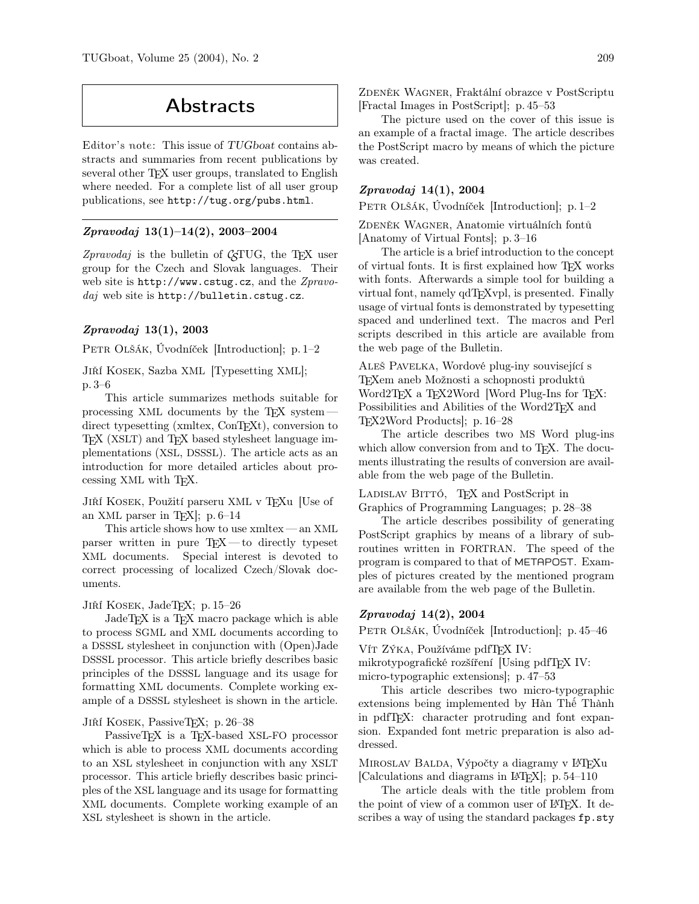# Abstracts

Editor's note: This issue of TUGboat contains abstracts and summaries from recent publications by several other T<sub>E</sub>X user groups, translated to English where needed. For a complete list of all user group publications, see http://tug.org/pubs.html.

## Zpravodaj 13(1)–14(2), 2003–2004

Zpravodaj is the bulletin of  $\mathcal{C}_{ST}UC$ , the T<sub>E</sub>X user group for the Czech and Slovak languages. Their web site is http://www.cstug.cz, and the Zpravodaj web site is http://bulletin.cstug.cz.

## Zpravodaj 13(1), 2003

Petr Olšák, Úvodníček [Introduction]; p. 1–2

Jiří Kosek, Sazba XML [Typesetting XML]; p. 3–6

This article summarizes methods suitable for processing XML documents by the  $T_{F}X$  system  $$ direct typesetting (xmltex, ConT<sub>EXt</sub>), conversion to TEX (XSLT) and TEX based stylesheet language implementations (XSL, DSSSL). The article acts as an introduction for more detailed articles about processing XML with TEX.

Jiří Kosek, Použití parseru XML v TEXu [Use of an XML parser in TEX]; p. 6–14

This article shows how to use xmltex— an XML parser written in pure TEX— to directly typeset XML documents. Special interest is devoted to correct processing of localized Czech/Slovak documents.

Jiří Kosek, JadeTEX; p. 15–26

JadeT<sub>E</sub>X is a T<sub>E</sub>X macro package which is able to process SGML and XML documents according to a DSSSL stylesheet in conjunction with (Open)Jade DSSSL processor. This article briefly describes basic principles of the DSSSL language and its usage for formatting XML documents. Complete working example of a DSSSL stylesheet is shown in the article.

#### Jiří Kosek, PassiveTEX; p. 26–38

PassiveTEX is a TEX-based XSL-FO processor which is able to process XML documents according to an XSL stylesheet in conjunction with any XSLT processor. This article briefly describes basic principles of the XSL language and its usage for formatting XML documents. Complete working example of an XSL stylesheet is shown in the article.

ZDENĚK WAGNER, Fraktální obrazce v PostScriptu [Fractal Images in PostScript]; p. 45–53

The picture used on the cover of this issue is an example of a fractal image. The article describes the PostScript macro by means of which the picture was created.

## Zpravodaj 14(1), 2004

PETR OLŠÁK, Úvodníček [Introduction]; p. 1–2

ZDENĚK WAGNER, Anatomie virtuálních fontů [Anatomy of Virtual Fonts]; p. 3–16

The article is a brief introduction to the concept of virtual fonts. It is first explained how TEX works with fonts. Afterwards a simple tool for building a virtual font, namely qdTEXvpl, is presented. Finally usage of virtual fonts is demonstrated by typesetting spaced and underlined text. The macros and Perl scripts described in this article are available from the web page of the Bulletin.

Aleš Pavelka, Wordové plug-iny související s TEXem aneb Možnosti a schopnosti produktů Word2TEX a TEX2Word [Word Plug-Ins for TEX: Possibilities and Abilities of the Word2TEX and TEX2Word Products]; p. 16–28

The article describes two MS Word plug-ins which allow conversion from and to T<sub>E</sub>X. The documents illustrating the results of conversion are available from the web page of the Bulletin.

LADISLAV BITTÓ, TEX and PostScript in Graphics of Programming Languages; p. 28–38

The article describes possibility of generating PostScript graphics by means of a library of subroutines written in FORTRAN. The speed of the program is compared to that of METAPOST. Examples of pictures created by the mentioned program are available from the web page of the Bulletin.

## Zpravodaj 14(2), 2004

PETR OLŠÁK, Úvodníček [Introduction]; p. 45–46

Vít Zýka, Používáme pdfTFX IV: mikrotypografické rozšíření [Using pdfT<sub>EX IV:</sub> micro-typographic extensions]; p. 47–53

This article describes two micro-typographic extensions being implemented by Hàn Thê´ Thành in pdfTEX: character protruding and font expansion. Expanded font metric preparation is also addressed.

MIROSLAV BALDA, Výpočty a diagramy v L<sup>AT</sup>EXu [Calculations and diagrams in LATEX]; p. 54–110

The article deals with the title problem from the point of view of a common user of LAT<sub>EX</sub>. It describes a way of using the standard packages  $fp.$ sty